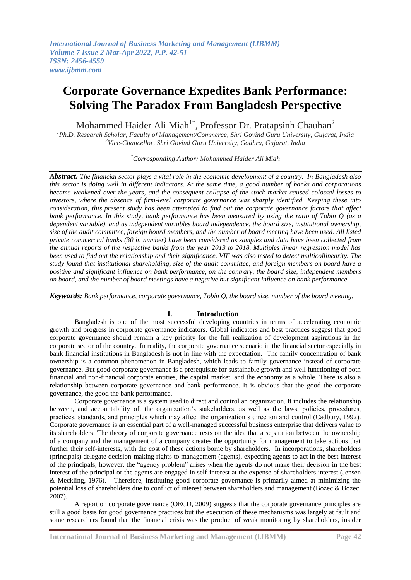Mohammed Haider Ali Miah<sup>1\*</sup>, Professor Dr. Pratapsinh Chauhan<sup>2</sup>

*<sup>1</sup>Ph.D. Research Scholar, Faculty of Management/Commerce, Shri Govind Guru University, Gujarat, India <sup>2</sup>Vice-Chancellor, Shri Govind Guru University, Godhra, Gujarat, India*

*\*Corrosponding Author: Mohammed Haider Ali Miah*

*Abstract: The financial sector plays a vital role in the economic development of a country. In Bangladesh also this sector is doing well in different indicators. At the same time, a good number of banks and corporations became weakened over the years, and the consequent collapse of the stock market caused colossal losses to investors, where the absence of firm-level corporate governance was sharply identified. Keeping these into consideration, this present study has been attempted to find out the corporate governance factors that affect bank performance. In this study, bank performance has been measured by using the ratio of Tobin Q (as a dependent variable), and as independent variables board independence, the board size, institutional ownership, size of the audit committee, foreign board members, and the number of board meeting have been used. All listed private commercial banks (30 in number) have been considered as samples and data have been collected from the annual reports of the respective banks from the year 2013 to 2018. Multiples linear regression model has been used to find out the relationship and their significance. VIF was also tested to detect multicollinearity. The study found that institutional shareholding, size of the audit committee, and foreign members on board have a positive and significant influence on bank performance, on the contrary, the board size, independent members on board, and the number of board meetings have a negative but significant influence on bank performance.* 

*Keywords: Bank performance, corporate governance, Tobin Q, the board size, number of the board meeting.*

#### **I. Introduction**

Bangladesh is one of the most successful developing countries in terms of accelerating economic growth and progress in corporate governance indicators. Global indicators and best practices suggest that good corporate governance should remain a key priority for the full realization of development aspirations in the corporate sector of the country. In reality, the corporate governance scenario in the financial sector especially in bank financial institutions in Bangladesh is not in line with the expectation. The family concentration of bank ownership is a common phenomenon in Bangladesh, which leads to family governance instead of corporate governance. But good corporate governance is a prerequisite for sustainable growth and well functioning of both financial and non-financial corporate entities, the capital market, and the economy as a whole. There is also a relationship between corporate governance and bank performance. It is obvious that the good the corporate governance, the good the bank performance.

Corporate governance is a system used to direct and control an organization. It includes the relationship between, and accountability of, the organization's stakeholders, as well as the laws, policies, procedures, practices, standards, and principles which may affect the organization's direction and control (Cadbury, 1992). Corporate governance is an essential part of a well-managed successful business enterprise that delivers value to its shareholders. The theory of corporate governance rests on the idea that a separation between the ownership of a company and the management of a company creates the opportunity for management to take actions that further their self-interests, with the cost of these actions borne by shareholders. In incorporations, shareholders (principals) delegate decision-making rights to management (agents), expecting agents to act in the best interest of the principals, however, the "agency problem" arises when the agents do not make their decision in the best interest of the principal or the agents are engaged in self-interest at the expense of shareholders interest (Jensen & Meckling, 1976). Therefore, instituting good corporate governance is primarily aimed at minimizing the potential loss of shareholders due to conflict of interest between shareholders and management (Bozec & Bozec, 2007).

A report on corporate governance (OECD, 2009) suggests that the corporate governance principles are still a good basis for good governance practices but the execution of these mechanisms was largely at fault and some researchers found that the financial crisis was the product of weak monitoring by shareholders, insider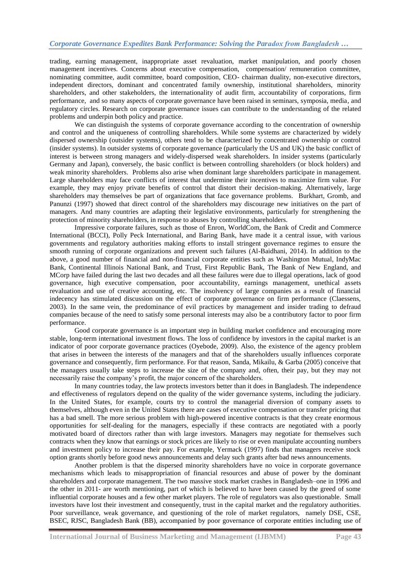trading, earning management, inappropriate asset revaluation, market manipulation, and poorly chosen management incentives. Concerns about executive compensation, compensation/ remuneration committee, nominating committee, audit committee, board composition, CEO- chairman duality, non-executive directors, independent directors, dominant and concentrated family ownership, institutional shareholders, minority shareholders, and other stakeholders, the internationality of audit firm, accountability of corporations, firm performance, and so many aspects of corporate governance have been raised in seminars, symposia, media, and regulatory circles. Research on corporate governance issues can contribute to the understanding of the related problems and underpin both policy and practice.

We can distinguish the systems of corporate governance according to the concentration of ownership and control and the uniqueness of controlling shareholders. While some systems are characterized by widely dispersed ownership (outsider systems), others tend to be characterized by concentrated ownership or control (insider systems). In outsider systems of corporate governance (particularly the US and UK) the basic conflict of interest is between strong managers and widely-dispersed weak shareholders. In insider systems (particularly Germany and Japan), conversely, the basic conflict is between controlling shareholders (or block holders) and weak minority shareholders. Problems also arise when dominant large shareholders participate in management. Large shareholders may face conflicts of interest that undermine their incentives to maximize firm value. For example, they may enjoy private benefits of control that distort their decision-making. Alternatively, large shareholders may themselves be part of organizations that face governance problems.Burkhart, Gromb, and Panunzi (1997) showed that direct control of the shareholders may discourage new initiatives on the part of managers. And many countries are adapting their legislative environments, particularly for strengthening the protection of minority shareholders, in response to abuses by controlling shareholders.

Impressive corporate failures, such as those of Enron, WorldCom, the Bank of Credit and Commerce International (BCCI), Polly Peck International, and Baring Bank, have made it a central issue, with various governments and regulatory authorities making efforts to install stringent governance regimes to ensure the smooth running of corporate organizations and prevent such failures (Al-Baidhani, 2014). In addition to the above, a good number of financial and non-financial corporate entities such as Washington Mutual, IndyMac Bank, Continental Illinois National Bank, and Trust, First Republic Bank, The Bank of New England, and MCorp have failed during the last two decades and all these failures were due to illegal operations, lack of good governance, high executive compensation, poor accountability, earnings management, unethical assets revaluation and use of creative accounting, etc. The insolvency of large companies as a result of financial indecency has stimulated discussion on the effect of corporate governance on firm performance (Claessens, 2003). In the same vein, the predominance of evil practices by management and insider trading to defraud companies because of the need to satisfy some personal interests may also be a contributory factor to poor firm performance.

Good corporate governance is an important step in building market confidence and encouraging more stable, long-term international investment flows. The loss of confidence by investors in the capital market is an indicator of poor corporate governance practices (Oyebode, 2009). Also, the existence of the agency problem that arises in between the interests of the managers and that of the shareholders usually influences corporate governance and consequently, firm performance. For that reason, Sanda, Mikailu, & Garba (2005) conceive that the managers usually take steps to increase the size of the company and, often, their pay, but they may not necessarily raise the company's profit, the major concern of the shareholders.

In many countries today, the law protects investors better than it does in Bangladesh. The independence and effectiveness of regulators depend on the quality of the wider governance systems, including the judiciary. In the United States, for example, courts try to control the managerial diversion of company assets to themselves, although even in the United States there are cases of executive compensation or transfer pricing that has a bad smell. The more serious problem with high-powered incentive contracts is that they create enormous opportunities for self-dealing for the managers, especially if these contracts are negotiated with a poorly motivated board of directors rather than with large investors. Managers may negotiate for themselves such contracts when they know that earnings or stock prices are likely to rise or even manipulate accounting numbers and investment policy to increase their pay. For example, Yermack (1997) finds that managers receive stock option grants shortly before good news announcements and delay such grants after bad news announcements.

Another problem is that the dispersed minority shareholders have no voice in corporate governance mechanisms which leads to misappropriation of financial resources and abuse of power by the dominant shareholders and corporate management. The two massive stock market crashes in Bangladesh–one in 1996 and the other in 2011- are worth mentioning, part of which is believed to have been caused by the greed of some influential corporate houses and a few other market players. The role of regulators was also questionable. Small investors have lost their investment and consequently, trust in the capital market and the regulatory authorities. Poor surveillance, weak governance, and questioning of the role of market regulators, namely DSE, CSE, BSEC, RJSC, Bangladesh Bank (BB), accompanied by poor governance of corporate entities including use of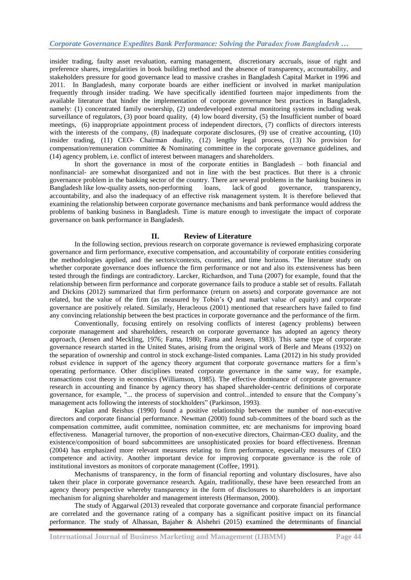insider trading, faulty asset revaluation, earning management, discretionary accruals, issue of right and preference shares, irregularities in book building method and the absence of transparency, accountability, and stakeholders pressure for good governance lead to massive crashes in Bangladesh Capital Market in 1996 and 2011. In Bangladesh, many corporate boards are either inefficient or involved in market manipulation frequently through insider trading. We have specifically identified fourteen major impediments from the available literature that hinder the implementation of corporate governance best practices in Bangladesh, namely: (1) concentrated family ownership, (2) underdeveloped external monitoring systems including weak surveillance of regulators, (3) poor board quality, (4) low board diversity, (5) the Insufficient number of board meetings, (6) inappropriate appointment process of independent directors, (7) conflicts of directors interests with the interests of the company, (8) inadequate corporate disclosures, (9) use of creative accounting, (10) insider trading, (11) CEO- Chairman duality, (12) lengthy legal process, (13) No provision for compensation/remuneration committee & Nominating committee in the corporate governance guidelines, and (14) agency problem, i.e. conflict of interest between managers and shareholders.

In short the governance in most of the corporate entities in Bangladesh – both financial and nonfinancial- are somewhat disorganized and not in line with the best practices. But there is a chronic governance problem in the banking sector of the country. There are several problems in the banking business in Bangladesh like low-quality assets, non-performing loans, lack of good governance, transparency, accountability, and also the inadequacy of an effective risk management system. It is therefore believed that examining the relationship between corporate governance mechanisms and bank performance would address the problems of banking business in Bangladesh. Time is mature enough to investigate the impact of corporate governance on bank performance in Bangladesh.

#### **II. Review of Literature**

In the following section, previous research on corporate governance is reviewed emphasizing corporate governance and firm performance, executive compensation, and accountability of corporate entities considering the methodologies applied, and the sectors/contexts, countries, and time horizons. The literature study on whether corporate governance does influence the firm performance or not and also its extensiveness has been tested through the findings are contradictory. Larcker, Richardson, and Tuna (2007) for example, found that the relationship between firm performance and corporate governance fails to produce a stable set of results. Fallatah and Dickins (2012) summarized that firm performance (return on assets) and corporate governance are not related, but the value of the firm (as measured by Tobin's Q and market value of equity) and corporate governance are positively related. Similarly, Heracleous (2001) mentioned that researchers have failed to find any convincing relationship between the best practices in corporate governance and the performance of the firm.

Conventionally, focusing entirely on resolving conflicts of interest (agency problems) between corporate management and shareholders, research on corporate governance has adopted an agency theory approach, (Jensen and Meckling, 1976; Fama, 1980; Fama and Jensen, 1983). This same type of corporate governance research started in the United States, arising from the original work of Berle and Means (1932) on the separation of ownership and control in stock exchange-listed companies. Lama (2012) in his study provided robust evidence in support of the agency theory argument that corporate governance matters for a firm's operating performance. Other disciplines treated corporate governance in the same way, for example, transactions cost theory in economics (Williamson, 1985). The effective dominance of corporate governance research in accounting and finance by agency theory has shaped shareholder-centric definitions of corporate governance, for example, "... the process of supervision and control...intended to ensure that the Company's management acts following the interests of stockholders" (Parkinson, 1993).

Kaplan and Reishus (1990) found a positive relationship between the number of non-executive directors and corporate financial performance. Newman (2000) found sub-committees of the board such as the compensation committee, audit committee, nomination committee, etc are mechanisms for improving board effectiveness. Managerial turnover, the proportion of non-executive directors, Chairman-CEO duality, and the existence/composition of board subcommittees are unsophisticated proxies for board effectiveness. Brennan (2004) has emphasized more relevant measures relating to firm performance, especially measures of CEO competence and activity. Another important device for improving corporate governance is the role of institutional investors as monitors of corporate management (Coffee, 1991).

Mechanisms of transparency, in the form of financial reporting and voluntary disclosures, have also taken their place in corporate governance research. Again, traditionally, these have been researched from an agency theory perspective whereby transparency in the form of disclosures to shareholders is an important mechanism for aligning shareholder and management interests (Hermanson, 2000).

The study of Aggarwal (2013) revealed that corporate governance and corporate financial performance are correlated and the governance rating of a company has a significant positive impact on its financial performance. The study of Alhassan, Bajaher & Alshehri (2015) examined the determinants of financial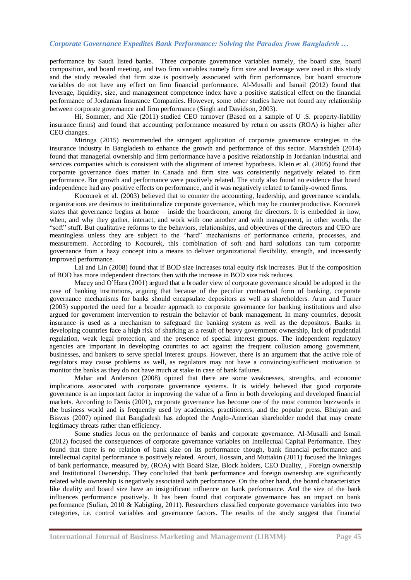performance by Saudi listed banks. Three corporate governance variables namely, the board size, board composition, and board meeting, and two firm variables namely firm size and leverage were used in this study and the study revealed that firm size is positively associated with firm performance, but board structure variables do not have any effect on firm financial performance. Al-Musalli and Ismail (2012) found that leverage, liquidity, size, and management competence index have a positive statistical effect on the financial performance of Jordanian Insurance Companies. However, some other studies have not found any relationship between corporate governance and firm performance (Singh and Davidson, 2003).

Hi, Sommer, and Xie (2011) studied CEO turnover (Based on a sample of U .S. property-liability insurance firms) and found that accounting performance measured by return on assets (ROA) is higher after CEO changes.

Miringa (2015) recommended the stringent application of corporate governance strategies in the insurance industry in Bangladesh to enhance the growth and performance of this sector. Marashdeh (2014) found that managerial ownership and firm performance have a positive relationship in Jordanian industrial and services companies which is consistent with the alignment of interest hypothesis. Klein et al. (2005) found that corporate governance does matter in Canada and firm size was consistently negatively related to firm performance. But growth and performance were positively related. The study also found no evidence that board independence had any positive effects on performance, and it was negatively related to family-owned firms.

Kocourek et al. (2003) believed that to counter the accounting, leadership, and governance scandals, organizations are desirous to institutionalize corporate governance, which may be counterproductive. Kocourek states that governance begins at home – inside the boardroom, among the directors. It is embedded in how, when, and why they gather, interact, and work with one another and with management, in other words, the "soft" stuff. But qualitative reforms to the behaviors, relationships, and objectives of the directors and CEO are meaningless unless they are subject to the "hard" mechanisms of performance criteria, processes, and measurement. According to Kocourek, this combination of soft and hard solutions can turn corporate governance from a hazy concept into a means to deliver organizational flexibility, strength, and incessantly improved performance.

Lai and Lin (2008) found that if BOD size increases total equity risk increases. But if the composition of BOD has more independent directors then with the increase in BOD size risk reduces.

Macey and O'Hara (2001) argued that a broader view of corporate governance should be adopted in the case of banking institutions, arguing that because of the peculiar contractual form of banking, corporate governance mechanisms for banks should encapsulate depositors as well as shareholders. Arun and Turner (2003) supported the need for a broader approach to corporate governance for banking institutions and also argued for government intervention to restrain the behavior of bank management. In many countries, deposit insurance is used as a mechanism to safeguard the banking system as well as the depositors. Banks in developing countries face a high risk of sharking as a result of heavy government ownership, lack of prudential regulation, weak legal protection, and the presence of special interest groups. The independent regulatory agencies are important in developing countries to act against the frequent collusion among government, businesses, and bankers to serve special interest groups. However, there is an argument that the active role of regulators may cause problems as well, as regulators may not have a convincing/sufficient motivation to monitor the banks as they do not have much at stake in case of bank failures.

Mahar and Anderson (2008) opined that there are some weaknesses, strengths, and economic implications associated with corporate governance systems. It is widely believed that good corporate governance is an important factor in improving the value of a firm in both developing and developed financial markets. According to Denis (2001), corporate governance has become one of the most common buzzwords in the business world and is frequently used by academics, practitioners, and the popular press. Bhuiyan and Biswas (2007) opined that Bangladesh has adopted the Anglo-American shareholder model that may create legitimacy threats rather than efficiency.

Some studies focus on the performance of banks and corporate governance. Al-Musalli and Ismail (2012) focused the consequences of corporate governance variables on Intellectual Capital Performance. They found that there is no relation of bank size on its performance though, bank financial performance and intellectual capital performance is positively related. Arouri, Hossain, and Muttakin (2011) focused the linkages of bank performance, measured by, (ROA) with Board Size, Block holders, CEO Duality, , Foreign ownership and Institutional Ownership. They concluded that bank performance and foreign ownership are significantly related while ownership is negatively associated with performance. On the other hand, the board characteristics like duality and board size have an insignificant influence on bank performance. And the size of the bank influences performance positively. It has been found that corporate governance has an impact on bank performance (Sufian, 2010 & Kabigting, 2011). Researchers classified corporate governance variables into two categories, i.e. control variables and governance factors. The results of the study suggest that financial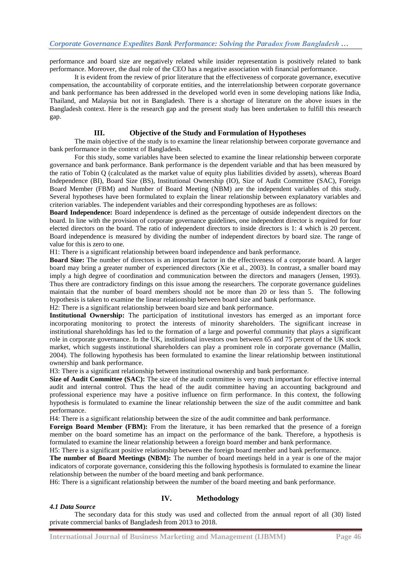performance and board size are negatively related while insider representation is positively related to bank performance. Moreover, the dual role of the CEO has a negative association with financial performance.

It is evident from the review of prior literature that the effectiveness of corporate governance, executive compensation, the accountability of corporate entities, and the interrelationship between corporate governance and bank performance has been addressed in the developed world even in some developing nations like India, Thailand, and Malaysia but not in Bangladesh. There is a shortage of literature on the above issues in the Bangladesh context. Here is the research gap and the present study has been undertaken to fulfill this research gap.

#### **III. Objective of the Study and Formulation of Hypotheses**

The main objective of the study is to examine the linear relationship between corporate governance and bank performance in the context of Bangladesh.

For this study, some variables have been selected to examine the linear relationship between corporate governance and bank performance. Bank performance is the dependent variable and that has been measured by the ratio of Tobin Q (calculated as the market value of equity plus liabilities divided by assets), whereas Board Independence (BI), Board Size (BS), Institutional Ownership (IO), Size of Audit Committee (SAC), Foreign Board Member (FBM) and Number of Board Meeting (NBM) are the independent variables of this study. Several hypotheses have been formulated to explain the linear relationship between explanatory variables and criterion variables. The independent variables and their corresponding hypotheses are as follows:

**Board Independence:** Board independence is defined as the percentage of outside independent directors on the board. In line with the provision of corporate governance guidelines, one independent director is required for four elected directors on the board. The ratio of independent directors to inside directors is 1: 4 which is 20 percent. Board independence is measured by dividing the number of independent directors by board size. The range of value for this is zero to one.

H1: There is a significant relationship between board independence and bank performance.

**Board Size:** The number of directors is an important factor in the effectiveness of a corporate board. A larger board may bring a greater number of experienced directors (Xie et al., 2003). In contrast, a smaller board may imply a high degree of coordination and communication between the directors and managers (Jensen, 1993). Thus there are contradictory findings on this issue among the researchers. The corporate governance guidelines maintain that the number of board members should not be more than 20 or less than 5. The following hypothesis is taken to examine the linear relationship between board size and bank performance.

H2: There is a significant relationship between board size and bank performance.

**Institutional Ownership:** The participation of institutional investors has emerged as an important force incorporating monitoring to protect the interests of minority shareholders. The significant increase in institutional shareholdings has led to the formation of a large and powerful community that plays a significant role in corporate governance. In the UK, institutional investors own between 65 and 75 percent of the UK stock market, which suggests institutional shareholders can play a prominent role in corporate governance (Mallin, 2004). The following hypothesis has been formulated to examine the linear relationship between institutional ownership and bank performance.

H3: There is a significant relationship between institutional ownership and bank performance.

**Size of Audit Committee (SAC):** The size of the audit committee is very much important for effective internal audit and internal control. Thus the head of the audit committee having an accounting background and professional experience may have a positive influence on firm performance. In this context, the following hypothesis is formulated to examine the linear relationship between the size of the audit committee and bank performance.

H4: There is a significant relationship between the size of the audit committee and bank performance.

**Foreign Board Member (FBM):** From the literature, it has been remarked that the presence of a foreign member on the board sometime has an impact on the performance of the bank. Therefore, a hypothesis is formulated to examine the linear relationship between a foreign board member and bank performance.

H5: There is a significant positive relationship between the foreign board member and bank performance.

**The number of Board Meetings (NBM):** The number of board meetings held in a year is one of the major indicators of corporate governance, considering this the following hypothesis is formulated to examine the linear relationship between the number of the board meeting and bank performance.

H6: There is a significant relationship between the number of the board meeting and bank performance.

#### *4.1 Data Source*

# **IV. Methodology**

The secondary data for this study was used and collected from the annual report of all (30) listed private commercial banks of Bangladesh from 2013 to 2018.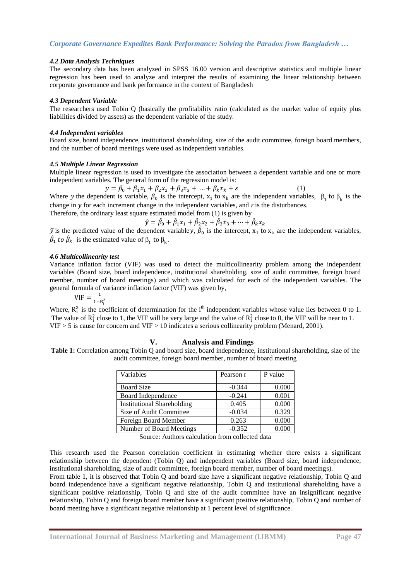## *4.2 Data Analysis Techniques*

The secondary data has been analyzed in SPSS 16.00 version and descriptive statistics and multiple linear regression has been used to analyze and interpret the results of examining the linear relationship between corporate governance and bank performance in the context of Bangladesh

#### *4.3 Dependent Variable*

The researchers used Tobin Q (basically the profitability ratio (calculated as the market value of equity plus liabilities divided by assets) as the dependent variable of the study.

#### *4.4 Independent variables*

Board size, board independence, institutional shareholding, size of the audit committee, foreign board members, and the number of board meetings were used as independent variables.

## *4.5 Multiple Linear Regression*

Multiple linear regression is used to investigate the association between a dependent variable and one or more independent variables. The general form of the regression model is:

$$
y = \beta_0 + \beta_1 x_1 + \beta_2 x_2 + \beta_3 x_3 + \dots + \beta_k x_k + \varepsilon \tag{1}
$$

Where y the dependent is variable,  $\beta_0$  is the intercept,  $x_1$  to  $x_k$  are the independent variables,  $\beta_1$  to  $\beta_k$  is the change in  $y$  for each increment change in the independent variables, and  $\varepsilon$  is the disturbances.

Therefore, the ordinary least square estimated model from (1) is given by

$$
\hat{y} = \hat{\beta}_0 + \hat{\beta}_1 x_1 + \hat{\beta}_2 x_2 + \hat{\beta}_3 x_3 + \dots + \hat{\beta}_k x_k
$$

 $\hat{y}$  is the predicted value of the dependent variabley,  $\hat{\beta}_0$  is the intercept,  $x_1$  to  $x_k$  are the independent variables,  $\hat{\beta}_1$  to  $\hat{\beta}_k$  is the estimated value of  $\beta_1$  to  $\beta_k$ .

#### *4.6 Multicollinearity test*

Variance inflation factor (VIF) was used to detect the multicollinearity problem among the independent variables (Board size, board independence, institutional shareholding, size of audit committee, foreign board member, number of board meetings) and which was calculated for each of the independent variables. The general formula of variance inflation factor (VIF) was given by,

$$
VIF = \frac{1}{1 - R_i^2}
$$

Where,  $R_i^2$  is the coefficient of determination for the i<sup>th</sup> independent variables whose value lies between 0 to 1. The value of  $R_i^2$  close to 1, the VIF will be very large and the value of  $R_i^2$  close to 0, the VIF will be near to 1. VIF > 5 is cause for concern and VIF > 10 indicates a serious collinearity problem (Menard, 2001).

## **V. Analysis and Findings**

**Table 1:** Correlation among Tobin Q and board size, board independence, institutional shareholding, size of the audit committee, foreign board member, number of board meeting

| Variables                         | Pearson r | P value |  |
|-----------------------------------|-----------|---------|--|
| <b>Board Size</b>                 | $-0.344$  | 0.000   |  |
| Board Independence                | $-0.241$  | 0.001   |  |
| <b>Institutional Shareholding</b> | 0.405     | 0.000   |  |
| Size of Audit Committee           | $-0.034$  | 0.329   |  |
| Foreign Board Member              | 0.263     | 0.000   |  |
| Number of Board Meetings          | $-0.352$  |         |  |

Source: Authors calculation from collected data

This research used the Pearson correlation coefficient in estimating whether there exists a significant relationship between the dependent (Tobin Q) and independent variables (Board size, board independence, institutional shareholding, size of audit committee, foreign board member, number of board meetings).

From table 1, it is observed that Tobin Q and board size have a significant negative relationship, Tobin Q and board independence have a significant negative relationship, Tobin Q and institutional shareholding have a significant positive relationship, Tobin Q and size of the audit committee have an insignificant negative relationship, Tobin Q and foreign board member have a significant positive relationship, Tobin Q and number of board meeting have a significant negative relationship at 1 percent level of significance.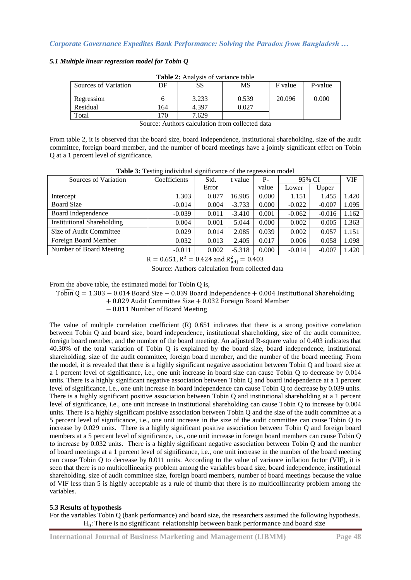## *5.1 Multiple linear regression model for Tobin Q*

| <b>Table 2:</b> Allalysis of variance table |     |       |       |         |         |  |  |  |  |
|---------------------------------------------|-----|-------|-------|---------|---------|--|--|--|--|
| Sources of Variation                        | DF  | SS    | MS    | F value | P-value |  |  |  |  |
| Regression                                  |     | 3.233 | 0.539 | 20.096  | 0.000   |  |  |  |  |
| Residual                                    | 164 | 4.397 | 0.027 |         |         |  |  |  |  |
| Total                                       | 70  | 7.629 |       |         |         |  |  |  |  |

**Table 2:** Analysis of variance table

From table 2, it is observed that the board size, board independence, institutional shareholding, size of the audit committee, foreign board member, and the number of board meetings have a jointly significant effect on Tobin Q at a 1 percent level of significance.

| Sources of Variation              | Coefficients | Std.  | t value  | $P -$ | 95% CI   |          | <b>VIF</b> |
|-----------------------------------|--------------|-------|----------|-------|----------|----------|------------|
|                                   |              | Error |          | value | Lower    | Upper    |            |
| Intercept                         | 1.303        | 0.077 | 16.905   | 0.000 | 1.151    | 1.455    | 1.420      |
| <b>Board Size</b>                 | $-0.014$     | 0.004 | $-3.733$ | 0.000 | $-0.022$ | $-0.007$ | 1.095      |
| Board Independence                | $-0.039$     | 0.011 | $-3.410$ | 0.001 | $-0.062$ | $-0.016$ | 1.162      |
| <b>Institutional Shareholding</b> | 0.004        | 0.001 | 5.044    | 0.000 | 0.002    | 0.005    | 1.363      |
| Size of Audit Committee           | 0.029        | 0.014 | 2.085    | 0.039 | 0.002    | 0.057    | 1.151      |
| Foreign Board Member              | 0.032        | 0.013 | 2.405    | 0.017 | 0.006    | 0.058    | 1.098      |
| Number of Board Meeting           | $-0.011$     | 0.002 | $-5.318$ | 0.000 | $-0.014$ | $-0.007$ | 1.420      |

**Table 3:** Testing individual significance of the regression model

 $R = 0.651$ ,  $R^2 = 0.424$  and  $R_a^2$ 

Source: Authors calculation from collected data

From the above table, the estimated model for Tobin Q is,

 $TobmQ = 1.303 - 0.014$  Board Size - 0.039 Board Independence + 0.004 Institutional Shareholding

+ 0.029 Audit Committee Size + 0.032 Foreign Board Member

 $-0.011$  Number of Board Meeting

The value of multiple correlation coefficient (R) 0.651 indicates that there is a strong positive correlation between Tobin Q and board size, board independence, institutional shareholding, size of the audit committee, foreign board member, and the number of the board meeting. An adjusted R-square value of 0.403 indicates that 40.30% of the total variation of Tobin Q is explained by the board size, board independence, institutional shareholding, size of the audit committee, foreign board member, and the number of the board meeting. From the model, it is revealed that there is a highly significant negative association between Tobin Q and board size at a 1 percent level of significance, i.e., one unit increase in board size can cause Tobin Q to decrease by 0.014 units. There is a highly significant negative association between Tobin Q and board independence at a 1 percent level of significance, i.e., one unit increase in board independence can cause Tobin Q to decrease by 0.039 units. There is a highly significant positive association between Tobin Q and institutional shareholding at a 1 percent level of significance, i.e., one unit increase in institutional shareholding can cause Tobin Q to increase by 0.004 units. There is a highly significant positive association between Tobin Q and the size of the audit committee at a 5 percent level of significance, i.e., one unit increase in the size of the audit committee can cause Tobin Q to increase by 0.029 units. There is a highly significant positive association between Tobin Q and foreign board members at a 5 percent level of significance, i.e., one unit increase in foreign board members can cause Tobin Q to increase by 0.032 units. There is a highly significant negative association between Tobin Q and the number of board meetings at a 1 percent level of significance, i.e., one unit increase in the number of the board meeting can cause Tobin Q to decrease by 0.011 units. According to the value of variance inflation factor (VIF), it is seen that there is no multicollinearity problem among the variables board size, board independence, institutional shareholding, size of audit committee size, foreign board members, number of board meetings because the value of VIF less than 5 is highly acceptable as a rule of thumb that there is no multicollinearity problem among the variables.

#### **5.3 Results of hypothesis**

For the variables Tobin Q (bank performance) and board size, the researchers assumed the following hypothesis.  $H_0$ :

Source: Authors calculation from collected data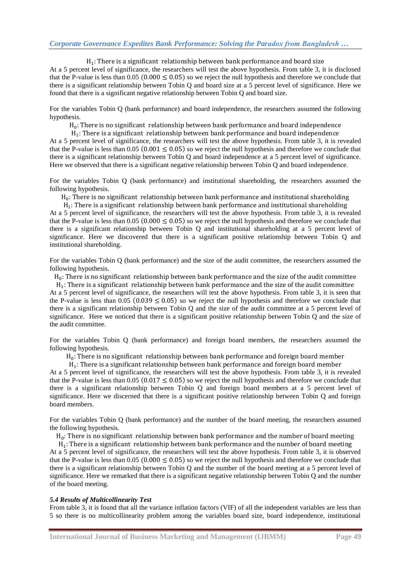$H_1$ : At a 5 percent level of significance, the researchers will test the above hypothesis. From table 3, it is disclosed that the P-value is less than  $0.05 (0.000 \le 0.05)$  so we reject the null hypothesis and therefore we conclude that there is a significant relationship between Tobin Q and board size at a 5 percent level of significance. Here we found that there is a significant negative relationship between Tobin Q and board size.

For the variables Tobin Q (bank performance) and board independence, the researchers assumed the following hypothesis.

 $H_0$ :

 $H_1$ : At a 5 percent level of significance, the researchers will test the above hypothesis. From table 3, it is revealed that the P-value is less than 0.05 (0.001  $\leq$  0.05) so we reject the null hypothesis and therefore we conclude that there is a significant relationship between Tobin Q and board independence at a 5 percent level of significance. Here we observed that there is a significant negative relationship between Tobin Q and board independence.

For the variables Tobin Q (bank performance) and institutional shareholding, the researchers assumed the following hypothesis.

 $H_0$ :

 $H_1$ : At a 5 percent level of significance, the researchers will test the above hypothesis. From table 3, it is revealed that the P-value is less than  $0.05 (0.000 \le 0.05)$  so we reject the null hypothesis and therefore we conclude that there is a significant relationship between Tobin Q and institutional shareholding at a 5 percent level of significance. Here we discovered that there is a significant positive relationship between Tobin Q and institutional shareholding.

For the variables Tobin Q (bank performance) and the size of the audit committee, the researchers assumed the following hypothesis.

 $H_0$ :

 $H_1$ : At a 5 percent level of significance, the researchers will test the above hypothesis. From table 3, it is seen that the P-value is less than  $0.05 (0.039 \le 0.05)$  so we reject the null hypothesis and therefore we conclude that there is a significant relationship between Tobin Q and the size of the audit committee at a 5 percent level of significance. Here we noticed that there is a significant positive relationship between Tobin Q and the size of the audit committee.

For the variables Tobin Q (bank performance) and foreign board members, the researchers assumed the following hypothesis.

 $H_0$ :

 $H_1$ :

At a 5 percent level of significance, the researchers will test the above hypothesis. From table 3, it is revealed that the P-value is less than  $0.05 (0.017 \le 0.05)$  so we reject the null hypothesis and therefore we conclude that there is a significant relationship between Tobin Q and foreign board members at a 5 percent level of significance. Here we discerned that there is a significant positive relationship between Tobin Q and foreign board members.

For the variables Tobin Q (bank performance) and the number of the board meeting, the researchers assumed the following hypothesis.

 $H_0$ :

 $H_1$ : At a 5 percent level of significance, the researchers will test the above hypothesis. From table 3, it is observed that the P-value is less than  $0.05$  ( $0.000 \le 0.05$ ) so we reject the null hypothesis and therefore we conclude that there is a significant relationship between Tobin Q and the number of the board meeting at a 5 percent level of significance. Here we remarked that there is a significant negative relationship between Tobin Q and the number of the board meeting.

#### *5.4 Results of Multicollinearity Test*

From table 3, it is found that all the variance inflation factors (VIF) of all the independent variables are less than 5 so there is no multicollinearity problem among the variables board size, board independence, institutional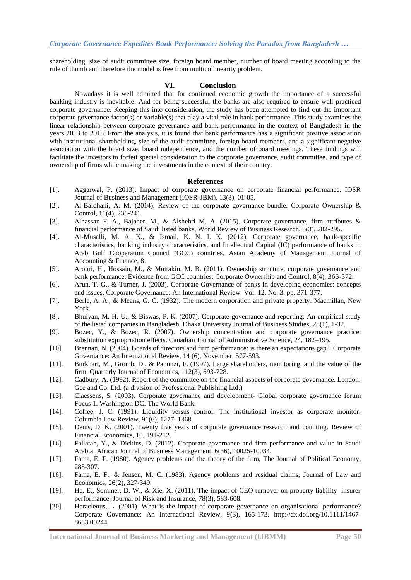shareholding, size of audit committee size, foreign board member, number of board meeting according to the rule of thumb and therefore the model is free from multicollinearity problem.

#### **VI. Conclusion**

Nowadays it is well admitted that for continued economic growth the importance of a successful banking industry is inevitable. And for being successful the banks are also required to ensure well-practiced corporate governance. Keeping this into consideration, the study has been attempted to find out the important corporate governance factor(s) or variable(s) that play a vital role in bank performance. This study examines the linear relationship between corporate governance and bank performance in the context of Bangladesh in the years 2013 to 2018. From the analysis, it is found that bank performance has a significant positive association with institutional shareholding, size of the audit committee, foreign board members, and a significant negative association with the board size, board independence, and the number of board meetings. These findings will facilitate the investors to forfeit special consideration to the corporate governance, audit committee, and type of ownership of firms while making the investments in the context of their country.

#### **References**

- [1]. Aggarwal, P. (2013). Impact of corporate governance on corporate financial performance. IOSR Journal of Business and Management (IOSR-JBM), 13(3), 01-05.
- [2]. Al-Baidhani, A. M. (2014). Review of the corporate governance bundle. Corporate Ownership & Control, 11(4), 236-241.
- [3]. Alhassan F. A., Bajaher, M., & Alshehri M. A. (2015). Corporate governance, firm attributes & financial performance of Saudi listed banks, World Review of Business Research, 5(3), 282-295.
- [4]. Al-Musalli, M. A. K., & Ismail, K. N. I. K. (2012). Corporate governance, bank-specific characteristics, banking industry characteristics, and Intellectual Capital (IC) performance of banks in Arab Gulf Cooperation Council (GCC) countries. Asian Academy of Management Journal of Accounting & Finance, 8.
- [5]. Arouri, H., Hossain, M., & Muttakin, M. B. (2011). Ownership structure, corporate governance and bank performance: Evidence from GCC countries. Corporate Ownership and Control, 8(4), 365-372.
- [6]. Arun, T. G., & Turner, J. (2003). Corporate Governance of banks in developing economies: concepts and issues. Corporate Governance: An International Review. Vol. 12, No. 3. pp. 371-377.
- [7]. Berle, A. A., & Means, G. C. (1932). The modern corporation and private property. Macmillan, New York.
- [8]. Bhuiyan, M. H. U., & Biswas, P. K. (2007). Corporate governance and reporting: An empirical study of the listed companies in Bangladesh. Dhaka University Journal of Business Studies, 28(1), 1-32.
- [9]. Bozec, Y., & Bozec, R. (2007). Ownership concentration and corporate governance practice: substitution expropriation effects. Canadian Journal of Administrative Science, 24, 182–195.
- [10]. Brennan, N. (2004). Boards of directors and firm performance: is there an expectations gap? Corporate Governance: An International Review, 14 (6), November, 577-593.
- [11]. Burkhart, M., Gromb, D., & Panunzi, F. (1997). Large shareholders, monitoring, and the value of the firm. Quarterly Journal of Economics, 112(3), 693-728.
- [12]. Cadbury, A. (1992). Report of the committee on the financial aspects of corporate governance. London: Gee and Co. Ltd. (a division of Professional Publishing Ltd.)
- [13]. Claessens, S. (2003). Corporate governance and development- Global corporate governance forum Focus 1. Washington DC: The World Bank.
- [14]. Coffee, J. C. (1991). Liquidity versus control: The institutional investor as corporate monitor. Columbia Law Review, 91(6), 1277–1368.
- [15]. Denis, D. K. (2001). Twenty five years of corporate governance research and counting. Review of Financial Economics, 10, 191-212.
- [16]. Fallatah, Y., & Dickins, D. (2012). Corporate governance and firm performance and value in Saudi Arabia. African Journal of Business Management, 6(36), 10025-10034.
- [17]. Fama, E. F. (1980). Agency problems and the theory of the firm, The Journal of Political Economy, 288-307.
- [18]. Fama, E. F., & Jensen, M. C. (1983). Agency problems and residual claims, Journal of Law and Economics, 26(2), 327-349.
- [19]. He, E., Sommer, D. W., & Xie, X. (2011). The impact of CEO turnover on property liability insurer performance, Journal of Risk and Insurance, 78(3), 583-608.
- [20]. Heracleous, L. (2001). What is the impact of corporate governance on organisational performance? Corporate Governance: An International Review, 9(3), 165-173. [http://dx.doi.org/10.1111/1467-](http://dx.doi.org/10.1111/1467-8683.00244) [8683.00244](http://dx.doi.org/10.1111/1467-8683.00244)

**International Journal of Business Marketing and Management (IJBMM) Page 50**